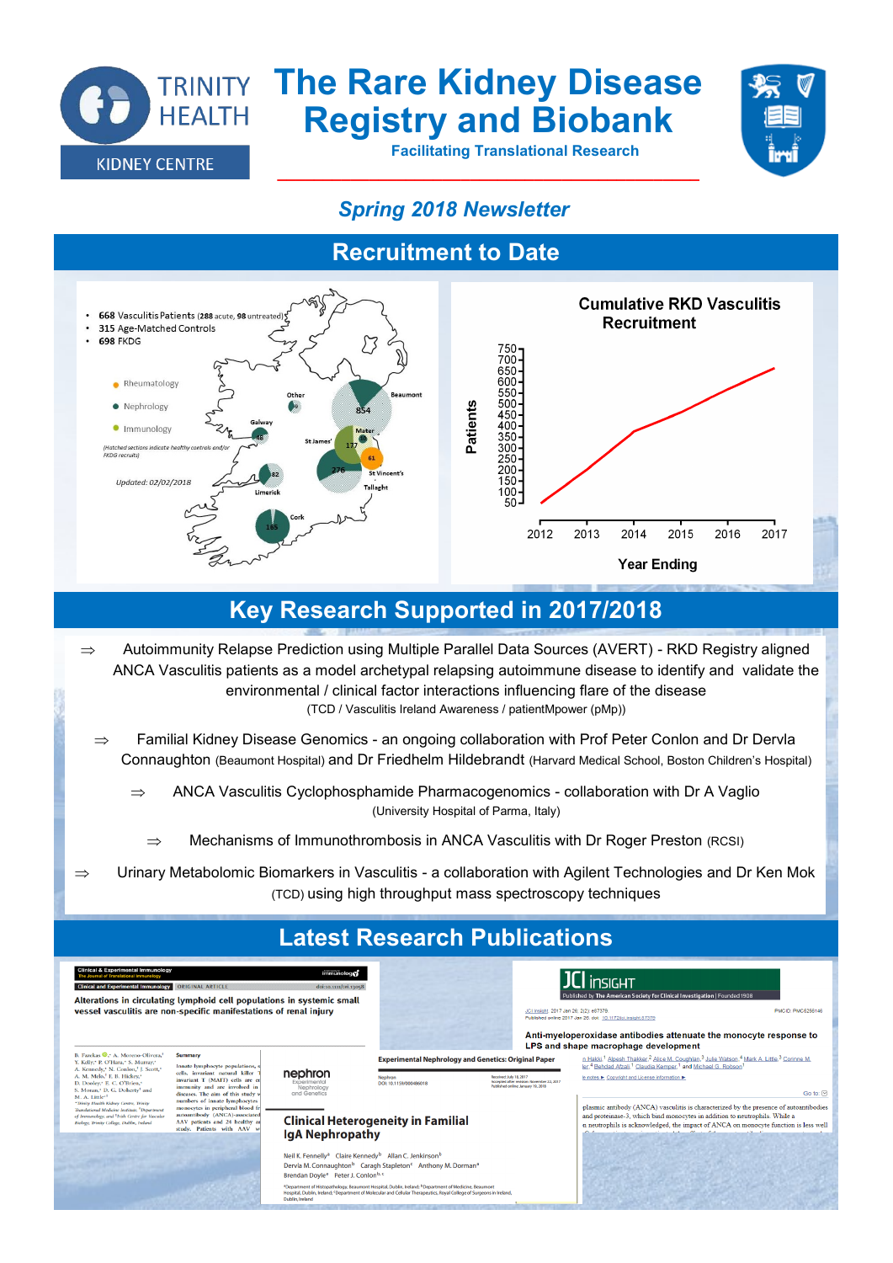

# **TRINITY The Rare Kidney Disease Registry and Biobank**

**\_\_\_\_\_\_\_\_\_\_\_\_\_\_\_\_\_\_\_\_\_\_\_\_\_\_\_\_\_\_\_\_\_\_\_\_\_\_\_\_\_\_\_\_\_\_**

 **Facilitating Translational Research** 



#### *Spring 2018 Newsletter*

### **Recruitment to Date**



### **Key Research Supported in 2017/2018**

- $\Rightarrow$  Autoimmunity Relapse Prediction using Multiple Parallel Data Sources (AVERT) RKD Registry aligned ANCA Vasculitis patients as a model archetypal relapsing autoimmune disease to identify and validate the environmental / clinical factor interactions influencing flare of the disease (TCD / Vasculitis Ireland Awareness / patientMpower (pMp))
	- $\Rightarrow$  Familial Kidney Disease Genomics an ongoing collaboration with Prof Peter Conlon and Dr Dervla Connaughton (Beaumont Hospital) and Dr Friedhelm Hildebrandt (Harvard Medical School, Boston Children's Hospital)
		- $\Rightarrow$  ANCA Vasculitis Cyclophosphamide Pharmacogenomics collaboration with Dr A Vaglio (University Hospital of Parma, Italy)
			- $\Rightarrow$  Mechanisms of Immunothrombosis in ANCA Vasculitis with Dr Roger Preston (RCSI)
- $\Rightarrow$  Urinary Metabolomic Biomarkers in Vasculitis a collaboration with Agilent Technologies and Dr Ken Mok (TCD) using high throughput mass spectroscopy techniques

### **Latest Research Publications**

| <b>Clinical &amp; Experimental Immunology</b><br>immunolog <sub>0</sub><br>The Journal of Translational Immunology<br><b>Clinical and Experimental Immunology</b><br><b>ORIGINAL ARTICLE</b><br>doi:10.1111/cei.13058<br>Alterations in circulating lymphoid cell populations in systemic small<br>vessel vasculitis are non-specific manifestations of renal injury                                                                                                                                                                                                             |                                                                                                                                                                                                                                                                                                                                                             |                                                                                                                                                                                                                                                                                                                                                                                                                                                                                                                           | $JCl$ insight<br>Published by The American Society for Clinical Investigation   Founded 1908<br>JCI Insight, 2017 Jan 26; 2(2): e87379.<br><b>PMCID: PMC5256146</b><br>Published online 2017 Jan 26, doi: 10.1172/ici.insight.87379<br>Anti-myeloperoxidase antibodies attenuate the monocyte response to<br>LPS and shape macrophage development |                                                                                                                                                                            |                                                                                                                                                                                                                                                                                                                                                                                                                                              |                                                                                                                                                                                          |
|----------------------------------------------------------------------------------------------------------------------------------------------------------------------------------------------------------------------------------------------------------------------------------------------------------------------------------------------------------------------------------------------------------------------------------------------------------------------------------------------------------------------------------------------------------------------------------|-------------------------------------------------------------------------------------------------------------------------------------------------------------------------------------------------------------------------------------------------------------------------------------------------------------------------------------------------------------|---------------------------------------------------------------------------------------------------------------------------------------------------------------------------------------------------------------------------------------------------------------------------------------------------------------------------------------------------------------------------------------------------------------------------------------------------------------------------------------------------------------------------|---------------------------------------------------------------------------------------------------------------------------------------------------------------------------------------------------------------------------------------------------------------------------------------------------------------------------------------------------|----------------------------------------------------------------------------------------------------------------------------------------------------------------------------|----------------------------------------------------------------------------------------------------------------------------------------------------------------------------------------------------------------------------------------------------------------------------------------------------------------------------------------------------------------------------------------------------------------------------------------------|------------------------------------------------------------------------------------------------------------------------------------------------------------------------------------------|
| B. Fazekas <b>O.</b> <sup>3</sup> A. Moreno-Olivera. <sup>1</sup><br>Y. Kelly, <sup>*</sup> P. O'Hara,* S. Murray,*<br>A. Kennedy,* N. Conlon, <sup>†</sup> J. Scott,*<br>A. M. Melo, <sup>1</sup> F. B. Hickey, <sup>4</sup><br>D. Dooley, <sup>*</sup> E. C. O'Brien,*<br>S. Moran, <sup>*</sup> D. G. Doherty <sup>1</sup> and<br>M. A. Little <sup>41</sup><br>*Trinity Health Kidney Centre, Trinity<br>Translational Medicine Institute. <sup>8</sup> Department<br>of Immunology, and <sup>1</sup> Irish Centre for Vascular<br>Bioloev, Trimity College, Dublin, Ireland | Summary<br>Innate lymphocyte populations,<br>cells, invariant natural killer<br>invariant T (MAIT) cells are en<br>immunity and are involved in<br>diseases. The aim of this study v<br>numbers of innate lymphocytes<br>monocytes in peripheral blood fr<br>autoantibody (ANCA)-associated<br>AAV patients and 24 healthy ar<br>study. Patients with AAV w | nephron<br>Experimental<br>Nephrology<br>and Genetics<br><b>Clinical Heterogeneity in Familial</b><br><b>IgA Nephropathy</b>                                                                                                                                                                                                                                                                                                                                                                                              | Nephron<br>DOI: 10.1159/000486018                                                                                                                                                                                                                                                                                                                 | <b>Experimental Nephrology and Genetics: Original Paper</b><br>Received: July 18, 2012<br>Accepted after revision: November 22, 2017<br>Published online: January 19, 2018 | n Hakki, <sup>1</sup> Alpesh Thakker, <sup>2</sup> Alice M. Coughlan, <sup>3</sup> Julie Watson, <sup>4</sup> Mark A. Little, <sup>3</sup> Corinne M.<br>ler. <sup>4</sup> Behdad Afzali. <sup>1</sup> Claudia Kemper. <sup>1</sup> and Michael G. Robson <sup>1</sup><br>le notes ▶ Copyright and License information ▶<br>and proteinase-3, which bind monocytes in addition to neutrophils. While a<br>the control of the company and the | Go to: 2<br>plasmic antibody (ANCA) vasculitis is characterized by the presence of autoantibodies<br>n neutrophils is acknowledged, the impact of ANCA on monocyte function is less well |
|                                                                                                                                                                                                                                                                                                                                                                                                                                                                                                                                                                                  |                                                                                                                                                                                                                                                                                                                                                             | Neil K. Fennelly <sup>a</sup> Claire Kennedy <sup>b</sup> Allan C. Jenkinson <sup>b</sup><br>Dervla M. Connaughton <sup>b</sup> Caragh Stapleton <sup>c</sup> Anthony M. Dorman <sup>a</sup><br>Brendan Dovle <sup>a</sup> Peter J. Conlon <sup>b, c</sup><br>*Department of Histopathology, Beaumont Hospital, Dublin, Ireland: <sup>b</sup> Department of Medicine, Beaumont<br>Hospital, Dublin, Ireland: "Department of Molecular and Cellular Therapeutics, Royal College of Surgeons in Ireland.<br>Dublin, Ireland |                                                                                                                                                                                                                                                                                                                                                   |                                                                                                                                                                            |                                                                                                                                                                                                                                                                                                                                                                                                                                              |                                                                                                                                                                                          |